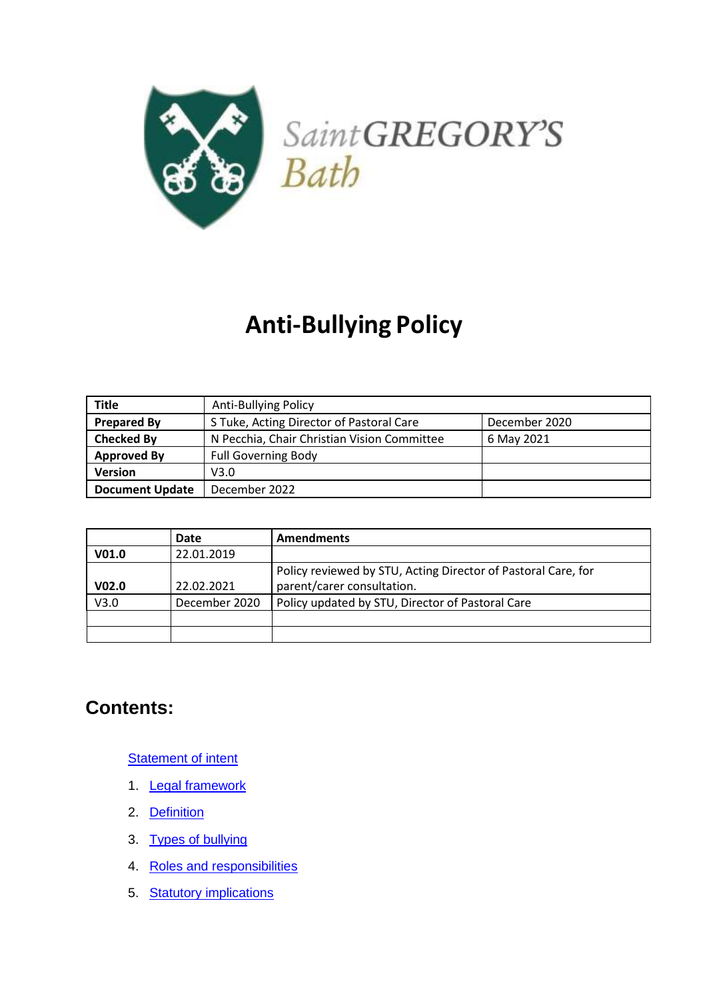

# **Anti-Bullying Policy**

| <b>Title</b>           | <b>Anti-Bullying Policy</b>                               |  |
|------------------------|-----------------------------------------------------------|--|
| <b>Prepared By</b>     | S Tuke, Acting Director of Pastoral Care<br>December 2020 |  |
| <b>Checked By</b>      | N Pecchia, Chair Christian Vision Committee<br>6 May 2021 |  |
| <b>Approved By</b>     | <b>Full Governing Body</b>                                |  |
| <b>Version</b>         | V3.0                                                      |  |
| <b>Document Update</b> | December 2022                                             |  |

|                   | Date          | <b>Amendments</b>                                             |
|-------------------|---------------|---------------------------------------------------------------|
| V01.0             | 22.01.2019    |                                                               |
|                   |               | Policy reviewed by STU, Acting Director of Pastoral Care, for |
| V <sub>02.0</sub> | 22.02.2021    | parent/carer consultation.                                    |
| V3.0              | December 2020 | Policy updated by STU, Director of Pastoral Care              |
|                   |               |                                                               |
|                   |               |                                                               |

# **Contents:**

[Statement of intent](#page-2-0)

- 1. [Legal framework](#page-3-0)
- 2. [Definition](#page-3-1)
- 3. [Types of bullying](#page-4-0)
- 4. [Roles and responsibilities](#page-5-0)
- 5. [Statutory implications](#page-6-0)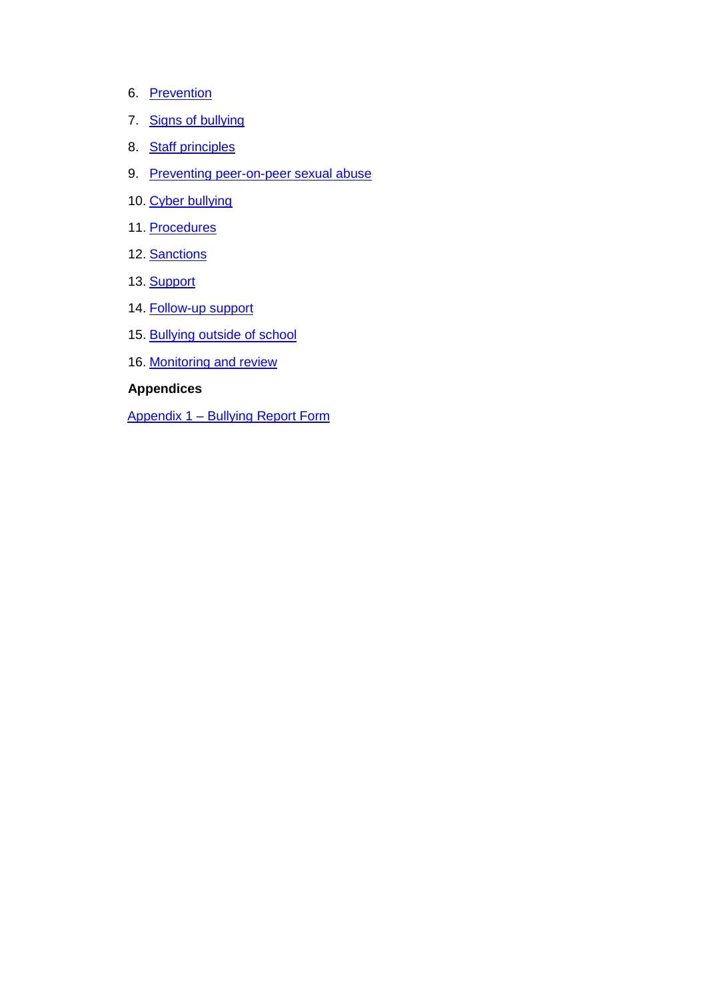- 6. [Prevention](#page-7-0)
- 7. [Signs of bullying](#page-8-0)
- 8. [Staff principles](#page-9-0)
- 9. [Preventing peer-on-peer sexual abuse](#page-9-1)
- 10. [Cyber bullying](#page-12-0)
- 11. [Procedures](#page-12-1)
- 12. [Sanctions](#page-13-0)
- 13. [Support](#page-13-1)
- 14. [Follow-up support](#page-14-0)
- 15. [Bullying outside of school](#page-15-0)
- 16. [Monitoring and review](#page-15-0)

#### **Appendices**

[Appendix 1 –](#page-16-0) Bullying Report Form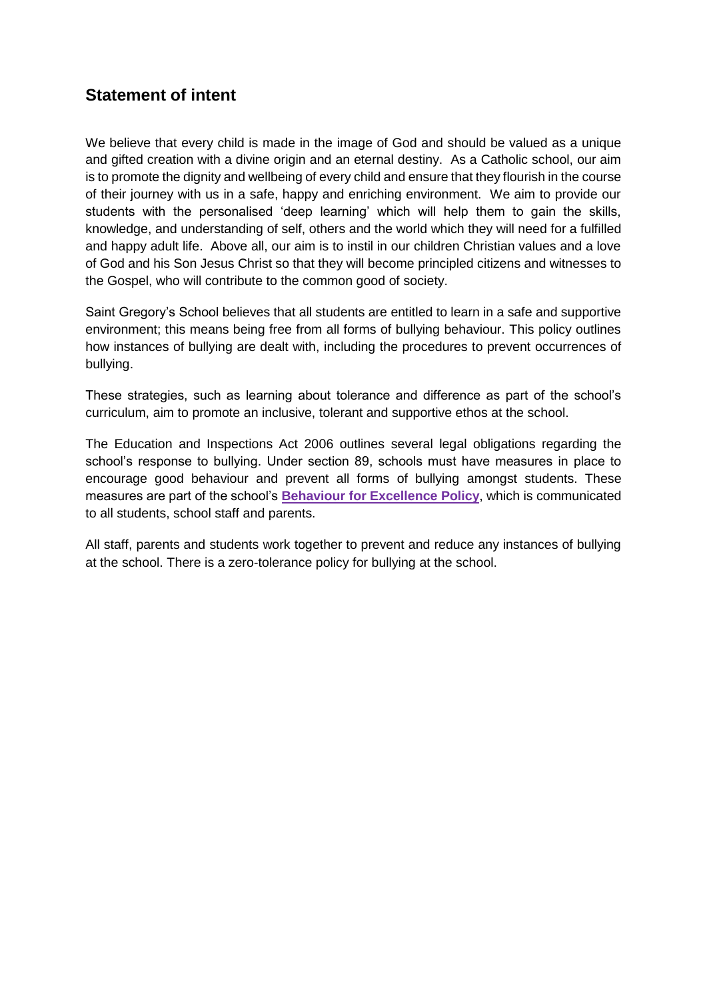## <span id="page-2-0"></span>**Statement of intent**

We believe that every child is made in the image of God and should be valued as a unique and gifted creation with a divine origin and an eternal destiny. As a Catholic school, our aim is to promote the dignity and wellbeing of every child and ensure that they flourish in the course of their journey with us in a safe, happy and enriching environment. We aim to provide our students with the personalised 'deep learning' which will help them to gain the skills, knowledge, and understanding of self, others and the world which they will need for a fulfilled and happy adult life. Above all, our aim is to instil in our children Christian values and a love of God and his Son Jesus Christ so that they will become principled citizens and witnesses to the Gospel, who will contribute to the common good of society.

Saint Gregory's School believes that all students are entitled to learn in a safe and supportive environment; this means being free from all forms of bullying behaviour. This policy outlines how instances of bullying are dealt with, including the procedures to prevent occurrences of bullying.

These strategies, such as learning about tolerance and difference as part of the school's curriculum, aim to promote an inclusive, tolerant and supportive ethos at the school.

The Education and Inspections Act 2006 outlines several legal obligations regarding the school's response to bullying. Under section 89, schools must have measures in place to encourage good behaviour and prevent all forms of bullying amongst students. These measures are part of the school's **[Behaviour for Excellence Policy](file://///SGCC-FIL01/StaffHome$/GormleyS/Downloads/Behaviour-for-Excellence-June-2020%20(4).pdf)**, which is communicated to all students, school staff and parents.

All staff, parents and students work together to prevent and reduce any instances of bullying at the school. There is a zero-tolerance policy for bullying at the school.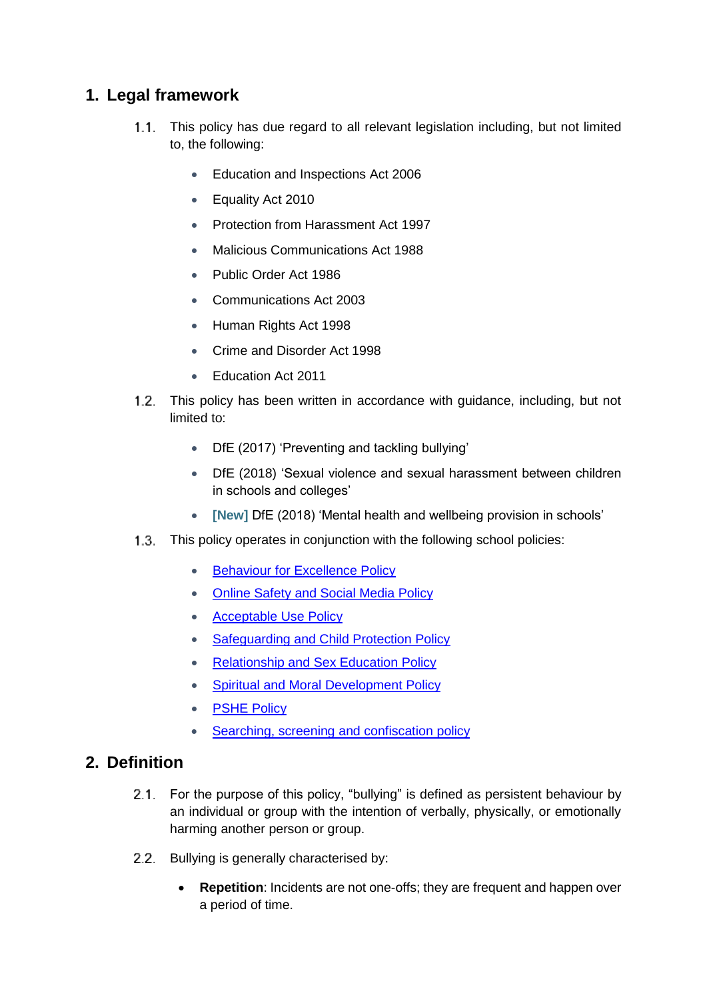## <span id="page-3-0"></span>**1. Legal framework**

- 1.1. This policy has due regard to all relevant legislation including, but not limited to, the following:
	- **Education and Inspections Act 2006**
	- Equality Act 2010
	- Protection from Harassment Act 1997
	- Malicious Communications Act 1988
	- Public Order Act 1986
	- Communications Act 2003
	- Human Rights Act 1998
	- Crime and Disorder Act 1998
	- Education Act 2011
- This policy has been written in accordance with guidance, including, but not limited to:
	- DfE (2017) 'Preventing and tackling bullying'
	- DfE (2018) 'Sexual violence and sexual harassment between children in schools and colleges'
	- **[New]** DfE (2018) 'Mental health and wellbeing provision in schools'
- This policy operates in conjunction with the following school policies:
	- **[Behaviour for Excellence Policy](file://///SGCC-FIL01/StaffHome$/GormleyS/Downloads/Behaviour-for-Excellence-June-2020%20(5).pdf)**
	- [Online Safety and Social Media Policy](file://///SGCC-FIL01/StaffHome$/GormleyS/Downloads/Online-Safety-and-Social-Media-Policy-2020%20(1).pdf)
	- [Acceptable Use Policy](file://///SGCC-FIL01/StaffHome$/GormleyS/Downloads/Acceptable-Use-Policy-STUDENTS-June-2020.pdf)
	- [Safeguarding and Child Protection Policy](file://///SGCC-FIL01/StaffHome$/GormleyS/Downloads/Safeguarding-and-Child-Protection-Policy-2020%20(1).pdf)
	- [Relationship and Sex Education Policy](file://///SGCC-FIL01/StaffHome$/GormleyS/Downloads/Relationship-and-Sex-Education-Policy-May-2020%20(1).pdf)
	- [Spiritual and Moral Development Policy](file://///SGCC-FIL01/StaffHome$/GormleyS/Downloads/Spiritual-and-Moral-Development-Policy-2020.pdf)
	- [PSHE Policy](file://///SGCC-FIL01/StaffHome$/GormleyS/Downloads/PSHE-Policy-February-2021.pdf)
	- Searching, screening and confiscation policy

#### <span id="page-3-1"></span>**2. Definition**

- 2.1. For the purpose of this policy, "bullying" is defined as persistent behaviour by an individual or group with the intention of verbally, physically, or emotionally harming another person or group.
- 2.2. Bullying is generally characterised by:
	- **Repetition**: Incidents are not one-offs; they are frequent and happen over a period of time.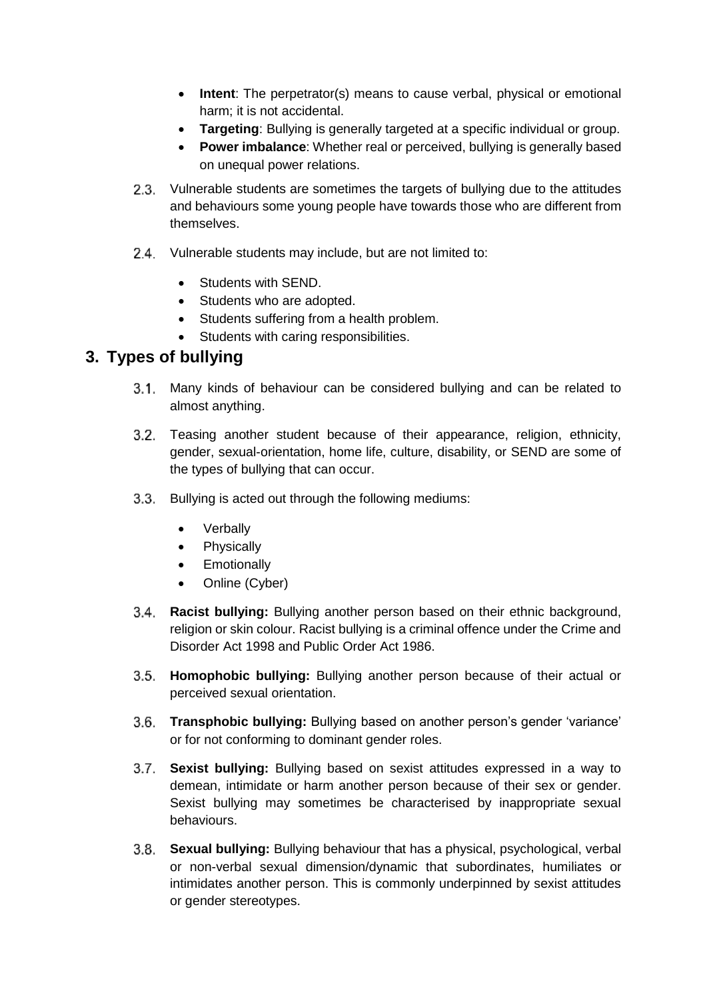- **Intent**: The perpetrator(s) means to cause verbal, physical or emotional harm; it is not accidental.
- **Targeting**: Bullying is generally targeted at a specific individual or group.
- **Power imbalance**: Whether real or perceived, bullying is generally based on unequal power relations.
- 2.3. Vulnerable students are sometimes the targets of bullying due to the attitudes and behaviours some young people have towards those who are different from themselves.
- 2.4. Vulnerable students may include, but are not limited to:
	- Students with SEND.
	- Students who are adopted.
	- Students suffering from a health problem.
	- Students with caring responsibilities.

#### <span id="page-4-0"></span>**3. Types of bullying**

- Many kinds of behaviour can be considered bullying and can be related to almost anything.
- Teasing another student because of their appearance, religion, ethnicity, gender, sexual-orientation, home life, culture, disability, or SEND are some of the types of bullying that can occur.
- 3.3. Bullying is acted out through the following mediums:
	- Verbally
	- Physically
	- Emotionally
	- Online (Cyber)
- **Racist bullying:** Bullying another person based on their ethnic background, religion or skin colour. Racist bullying is a criminal offence under the Crime and Disorder Act 1998 and Public Order Act 1986.
- **Homophobic bullying:** Bullying another person because of their actual or perceived sexual orientation.
- **Transphobic bullying:** Bullying based on another person's gender 'variance' or for not conforming to dominant gender roles.
- **Sexist bullying:** Bullying based on sexist attitudes expressed in a way to demean, intimidate or harm another person because of their sex or gender. Sexist bullying may sometimes be characterised by inappropriate sexual behaviours.
- **Sexual bullying:** Bullying behaviour that has a physical, psychological, verbal or non-verbal sexual dimension/dynamic that subordinates, humiliates or intimidates another person. This is commonly underpinned by sexist attitudes or gender stereotypes.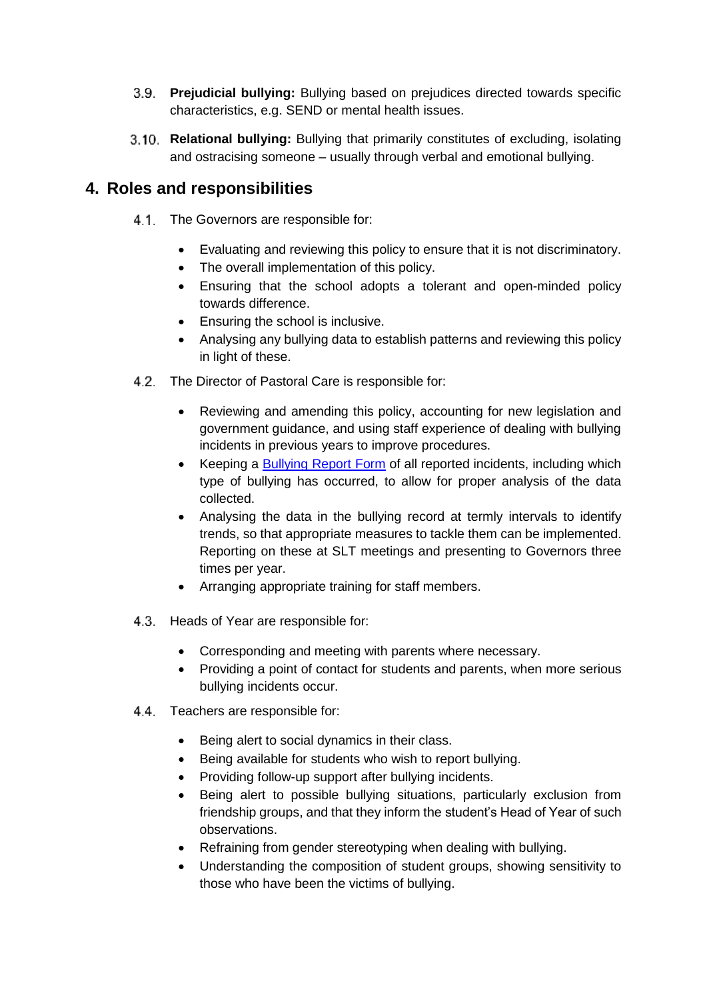- **Prejudicial bullying:** Bullying based on prejudices directed towards specific characteristics, e.g. SEND or mental health issues.
- **Relational bullying:** Bullying that primarily constitutes of excluding, isolating and ostracising someone – usually through verbal and emotional bullying.

## <span id="page-5-0"></span>**4. Roles and responsibilities**

- 4.1. The Governors are responsible for:
	- Evaluating and reviewing this policy to ensure that it is not discriminatory.
	- The overall implementation of this policy.
	- Ensuring that the school adopts a tolerant and open-minded policy towards difference.
	- Ensuring the school is inclusive.
	- Analysing any bullying data to establish patterns and reviewing this policy in light of these.
- 4.2. The Director of Pastoral Care is responsible for:
	- Reviewing and amending this policy, accounting for new legislation and government guidance, and using staff experience of dealing with bullying incidents in previous years to improve procedures.
	- Keeping a [Bullying Report Form](#page-16-0) of all reported incidents, including which type of bullying has occurred, to allow for proper analysis of the data collected.
	- Analysing the data in the bullying record at termly intervals to identify trends, so that appropriate measures to tackle them can be implemented. Reporting on these at SLT meetings and presenting to Governors three times per year.
	- Arranging appropriate training for staff members.
- 4.3. Heads of Year are responsible for:
	- Corresponding and meeting with parents where necessary.
	- Providing a point of contact for students and parents, when more serious bullying incidents occur.
- 4.4. Teachers are responsible for:
	- Being alert to social dynamics in their class.
	- Being available for students who wish to report bullying.
	- Providing follow-up support after bullying incidents.
	- Being alert to possible bullying situations, particularly exclusion from friendship groups, and that they inform the student's Head of Year of such observations.
	- Refraining from gender stereotyping when dealing with bullying.
	- Understanding the composition of student groups, showing sensitivity to those who have been the victims of bullying.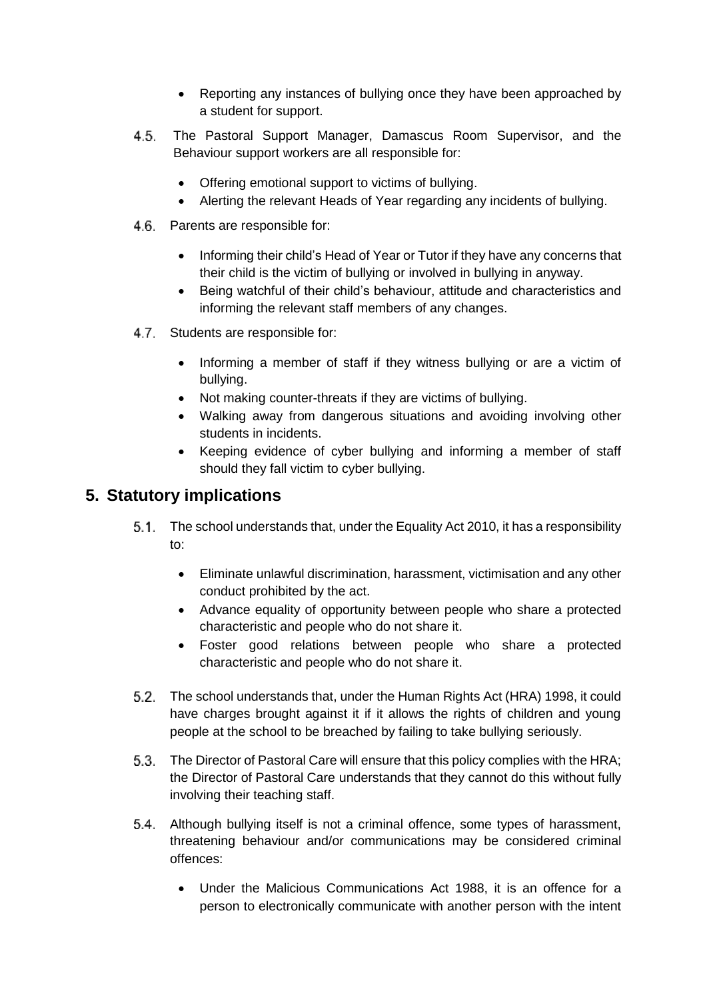- Reporting any instances of bullying once they have been approached by a student for support.
- The Pastoral Support Manager, Damascus Room Supervisor, and the  $4.5.$ Behaviour support workers are all responsible for:
	- Offering emotional support to victims of bullying.
	- Alerting the relevant Heads of Year regarding any incidents of bullying.
- 4.6. Parents are responsible for:
	- Informing their child's Head of Year or Tutor if they have any concerns that their child is the victim of bullying or involved in bullying in anyway.
	- Being watchful of their child's behaviour, attitude and characteristics and informing the relevant staff members of any changes.
- 4.7 Students are responsible for:
	- Informing a member of staff if they witness bullying or are a victim of bullying.
	- Not making counter-threats if they are victims of bullying.
	- Walking away from dangerous situations and avoiding involving other students in incidents.
	- Keeping evidence of cyber bullying and informing a member of staff should they fall victim to cyber bullying.

## <span id="page-6-0"></span>**5. Statutory implications**

- The school understands that, under the Equality Act 2010, it has a responsibility to:
	- Eliminate unlawful discrimination, harassment, victimisation and any other conduct prohibited by the act.
	- Advance equality of opportunity between people who share a protected characteristic and people who do not share it.
	- Foster good relations between people who share a protected characteristic and people who do not share it.
- The school understands that, under the Human Rights Act (HRA) 1998, it could have charges brought against it if it allows the rights of children and young people at the school to be breached by failing to take bullying seriously.
- The Director of Pastoral Care will ensure that this policy complies with the HRA; the Director of Pastoral Care understands that they cannot do this without fully involving their teaching staff.
- Although bullying itself is not a criminal offence, some types of harassment, threatening behaviour and/or communications may be considered criminal offences:
	- Under the Malicious Communications Act 1988, it is an offence for a person to electronically communicate with another person with the intent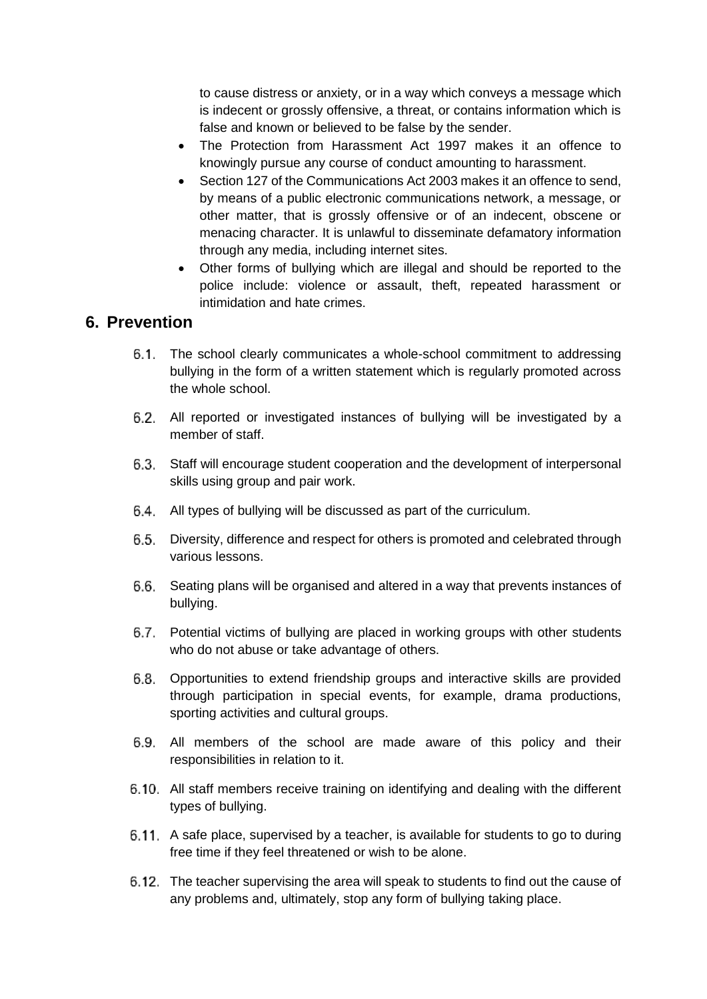to cause distress or anxiety, or in a way which conveys a message which is indecent or grossly offensive, a threat, or contains information which is false and known or believed to be false by the sender.

- The Protection from Harassment Act 1997 makes it an offence to knowingly pursue any course of conduct amounting to harassment.
- Section 127 of the Communications Act 2003 makes it an offence to send, by means of a public electronic communications network, a message, or other matter, that is grossly offensive or of an indecent, obscene or menacing character. It is unlawful to disseminate defamatory information through any media, including internet sites.
- Other forms of bullying which are illegal and should be reported to the police include: violence or assault, theft, repeated harassment or intimidation and hate crimes.

#### <span id="page-7-0"></span>**6. Prevention**

- 6.1. The school clearly communicates a whole-school commitment to addressing bullying in the form of a written statement which is regularly promoted across the whole school.
- 6.2. All reported or investigated instances of bullying will be investigated by a member of staff.
- Staff will encourage student cooperation and the development of interpersonal skills using group and pair work.
- 6.4. All types of bullying will be discussed as part of the curriculum.
- Diversity, difference and respect for others is promoted and celebrated through various lessons.
- Seating plans will be organised and altered in a way that prevents instances of bullying.
- Potential victims of bullying are placed in working groups with other students who do not abuse or take advantage of others.
- Opportunities to extend friendship groups and interactive skills are provided through participation in special events, for example, drama productions, sporting activities and cultural groups.
- All members of the school are made aware of this policy and their responsibilities in relation to it.
- All staff members receive training on identifying and dealing with the different types of bullying.
- 6.11. A safe place, supervised by a teacher, is available for students to go to during free time if they feel threatened or wish to be alone.
- The teacher supervising the area will speak to students to find out the cause of any problems and, ultimately, stop any form of bullying taking place.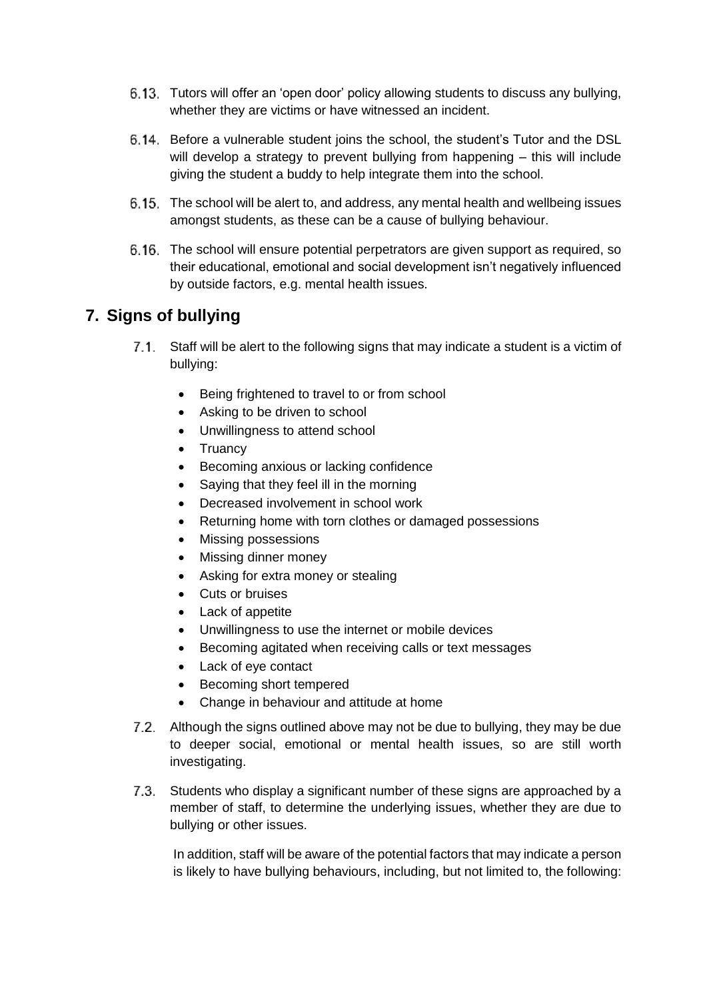- Tutors will offer an 'open door' policy allowing students to discuss any bullying, whether they are victims or have witnessed an incident.
- Before a vulnerable student joins the school, the student's Tutor and the DSL will develop a strategy to prevent bullying from happening – this will include giving the student a buddy to help integrate them into the school.
- The school will be alert to, and address, any mental health and wellbeing issues amongst students, as these can be a cause of bullying behaviour.
- The school will ensure potential perpetrators are given support as required, so their educational, emotional and social development isn't negatively influenced by outside factors, e.g. mental health issues.

## <span id="page-8-0"></span>**7. Signs of bullying**

- Staff will be alert to the following signs that may indicate a student is a victim of bullying:
	- Being frightened to travel to or from school
	- Asking to be driven to school
	- Unwillingness to attend school
	- Truancy
	- **•** Becoming anxious or lacking confidence
	- Saying that they feel ill in the morning
	- Decreased involvement in school work
	- Returning home with torn clothes or damaged possessions
	- Missing possessions
	- Missing dinner money
	- Asking for extra money or stealing
	- Cuts or bruises
	- Lack of appetite
	- Unwillingness to use the internet or mobile devices
	- Becoming agitated when receiving calls or text messages
	- Lack of eye contact
	- Becoming short tempered
	- Change in behaviour and attitude at home
- 7.2. Although the signs outlined above may not be due to bullying, they may be due to deeper social, emotional or mental health issues, so are still worth investigating.
- Students who display a significant number of these signs are approached by a member of staff, to determine the underlying issues, whether they are due to bullying or other issues.

In addition, staff will be aware of the potential factors that may indicate a person is likely to have bullying behaviours, including, but not limited to, the following: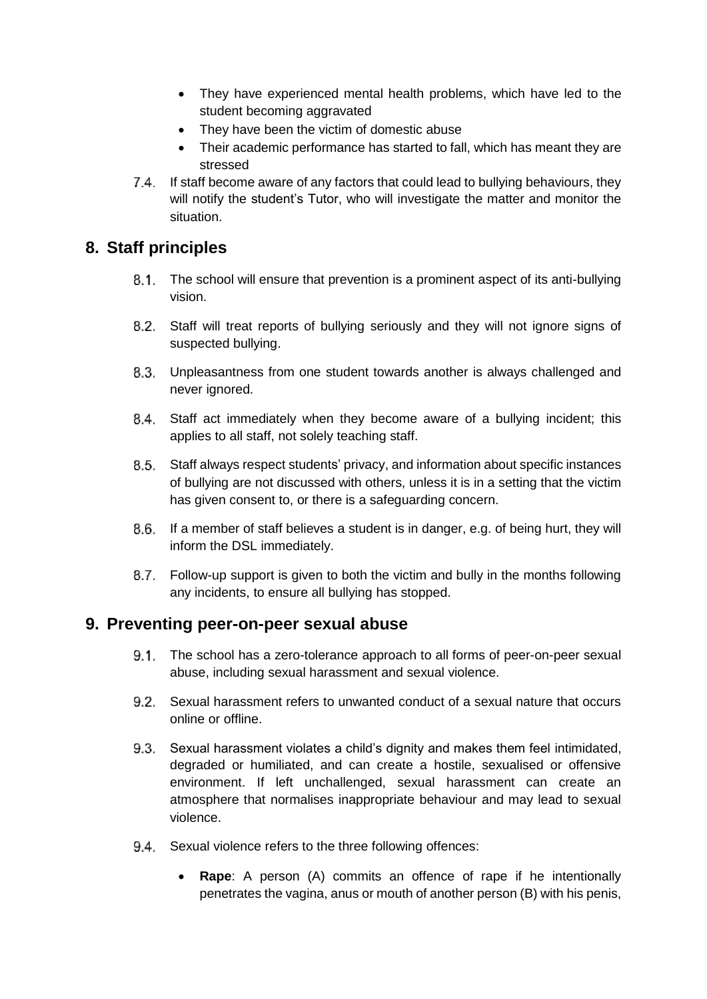- They have experienced mental health problems, which have led to the student becoming aggravated
- They have been the victim of domestic abuse
- Their academic performance has started to fall, which has meant they are stressed
- If staff become aware of any factors that could lead to bullying behaviours, they will notify the student's Tutor, who will investigate the matter and monitor the situation.

#### <span id="page-9-0"></span>**8. Staff principles**

- The school will ensure that prevention is a prominent aspect of its anti-bullying vision.
- Staff will treat reports of bullying seriously and they will not ignore signs of suspected bullying.
- Unpleasantness from one student towards another is always challenged and never ignored.
- Staff act immediately when they become aware of a bullying incident; this applies to all staff, not solely teaching staff.
- Staff always respect students' privacy, and information about specific instances of bullying are not discussed with others, unless it is in a setting that the victim has given consent to, or there is a safeguarding concern.
- If a member of staff believes a student is in danger, e.g. of being hurt, they will inform the DSL immediately.
- Follow-up support is given to both the victim and bully in the months following any incidents, to ensure all bullying has stopped.

#### <span id="page-9-1"></span>**9. Preventing peer-on-peer sexual abuse**

- The school has a zero-tolerance approach to all forms of peer-on-peer sexual abuse, including sexual harassment and sexual violence.
- Sexual harassment refers to unwanted conduct of a sexual nature that occurs online or offline.
- Sexual harassment violates a child's dignity and makes them feel intimidated, degraded or humiliated, and can create a hostile, sexualised or offensive environment. If left unchallenged, sexual harassment can create an atmosphere that normalises inappropriate behaviour and may lead to sexual violence.
- 9.4. Sexual violence refers to the three following offences:
	- **Rape**: A person (A) commits an offence of rape if he intentionally penetrates the vagina, anus or mouth of another person (B) with his penis,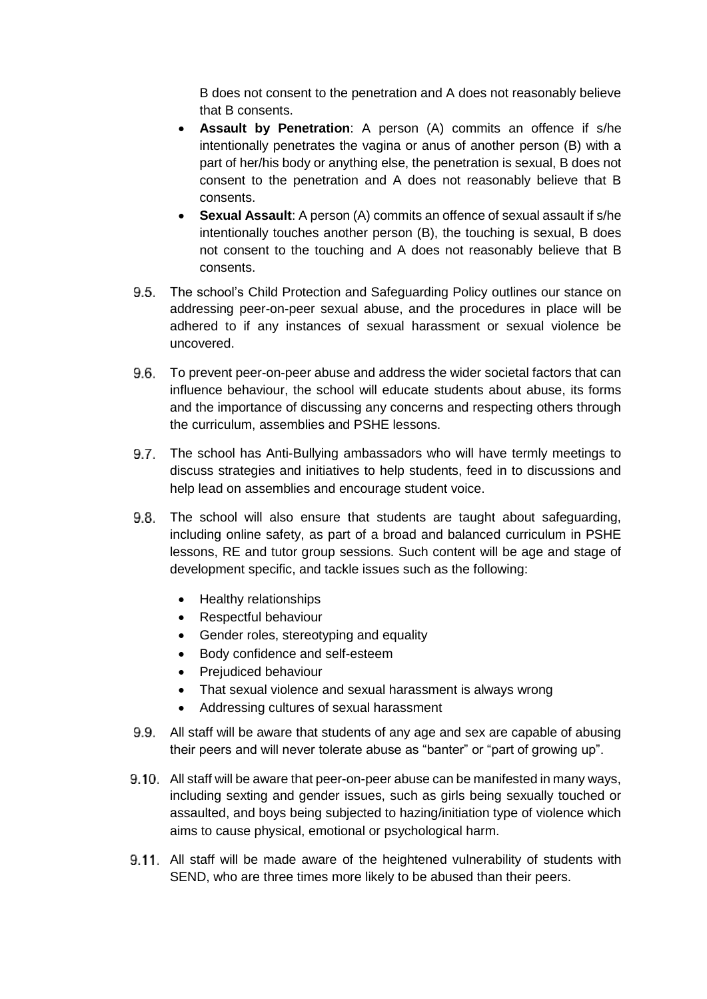B does not consent to the penetration and A does not reasonably believe that B consents.

- **Assault by Penetration**: A person (A) commits an offence if s/he intentionally penetrates the vagina or anus of another person (B) with a part of her/his body or anything else, the penetration is sexual, B does not consent to the penetration and A does not reasonably believe that B consents.
- **Sexual Assault**: A person (A) commits an offence of sexual assault if s/he intentionally touches another person (B), the touching is sexual, B does not consent to the touching and A does not reasonably believe that B consents.
- 9.5. The school's Child Protection and Safeguarding Policy outlines our stance on addressing peer-on-peer sexual abuse, and the procedures in place will be adhered to if any instances of sexual harassment or sexual violence be uncovered.
- To prevent peer-on-peer abuse and address the wider societal factors that can influence behaviour, the school will educate students about abuse, its forms and the importance of discussing any concerns and respecting others through the curriculum, assemblies and PSHE lessons.
- 9.7. The school has Anti-Bullying ambassadors who will have termly meetings to discuss strategies and initiatives to help students, feed in to discussions and help lead on assemblies and encourage student voice.
- 9.8. The school will also ensure that students are taught about safeguarding, including online safety, as part of a broad and balanced curriculum in PSHE lessons, RE and tutor group sessions. Such content will be age and stage of development specific, and tackle issues such as the following:
	- Healthy relationships
	- Respectful behaviour
	- Gender roles, stereotyping and equality
	- Body confidence and self-esteem
	- Prejudiced behaviour
	- That sexual violence and sexual harassment is always wrong
	- Addressing cultures of sexual harassment
- 9.9. All staff will be aware that students of any age and sex are capable of abusing their peers and will never tolerate abuse as "banter" or "part of growing up".
- All staff will be aware that peer-on-peer abuse can be manifested in many ways, including sexting and gender issues, such as girls being sexually touched or assaulted, and boys being subjected to hazing/initiation type of violence which aims to cause physical, emotional or psychological harm.
- 9.11. All staff will be made aware of the heightened vulnerability of students with SEND, who are three times more likely to be abused than their peers.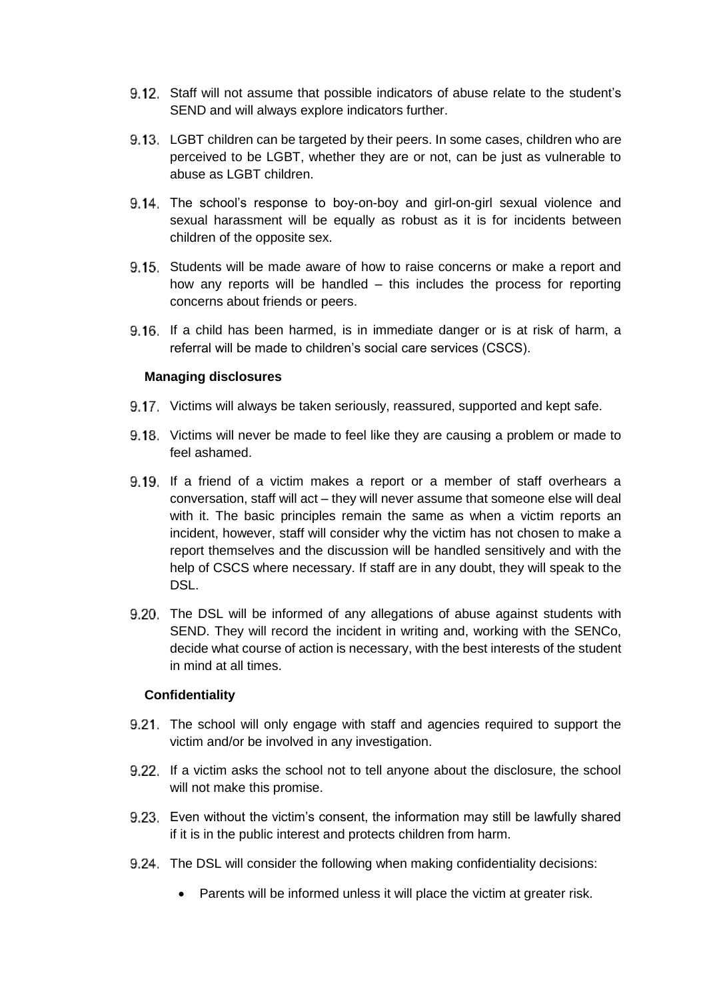- Staff will not assume that possible indicators of abuse relate to the student's SEND and will always explore indicators further.
- LGBT children can be targeted by their peers. In some cases, children who are perceived to be LGBT, whether they are or not, can be just as vulnerable to abuse as LGBT children.
- 9.14. The school's response to boy-on-boy and girl-on-girl sexual violence and sexual harassment will be equally as robust as it is for incidents between children of the opposite sex.
- Students will be made aware of how to raise concerns or make a report and how any reports will be handled – this includes the process for reporting concerns about friends or peers.
- 9.16. If a child has been harmed, is in immediate danger or is at risk of harm, a referral will be made to children's social care services (CSCS).

#### **Managing disclosures**

- 9.17. Victims will always be taken seriously, reassured, supported and kept safe.
- 9.18. Victims will never be made to feel like they are causing a problem or made to feel ashamed.
- 9.19. If a friend of a victim makes a report or a member of staff overhears a conversation, staff will act – they will never assume that someone else will deal with it. The basic principles remain the same as when a victim reports an incident, however, staff will consider why the victim has not chosen to make a report themselves and the discussion will be handled sensitively and with the help of CSCS where necessary. If staff are in any doubt, they will speak to the DSL.
- 9.20. The DSL will be informed of any allegations of abuse against students with SEND. They will record the incident in writing and, working with the SENCo, decide what course of action is necessary, with the best interests of the student in mind at all times.

#### **Confidentiality**

- 9.21. The school will only engage with staff and agencies required to support the victim and/or be involved in any investigation.
- 9.22. If a victim asks the school not to tell anyone about the disclosure, the school will not make this promise.
- Even without the victim's consent, the information may still be lawfully shared if it is in the public interest and protects children from harm.
- 9.24. The DSL will consider the following when making confidentiality decisions:
	- Parents will be informed unless it will place the victim at greater risk.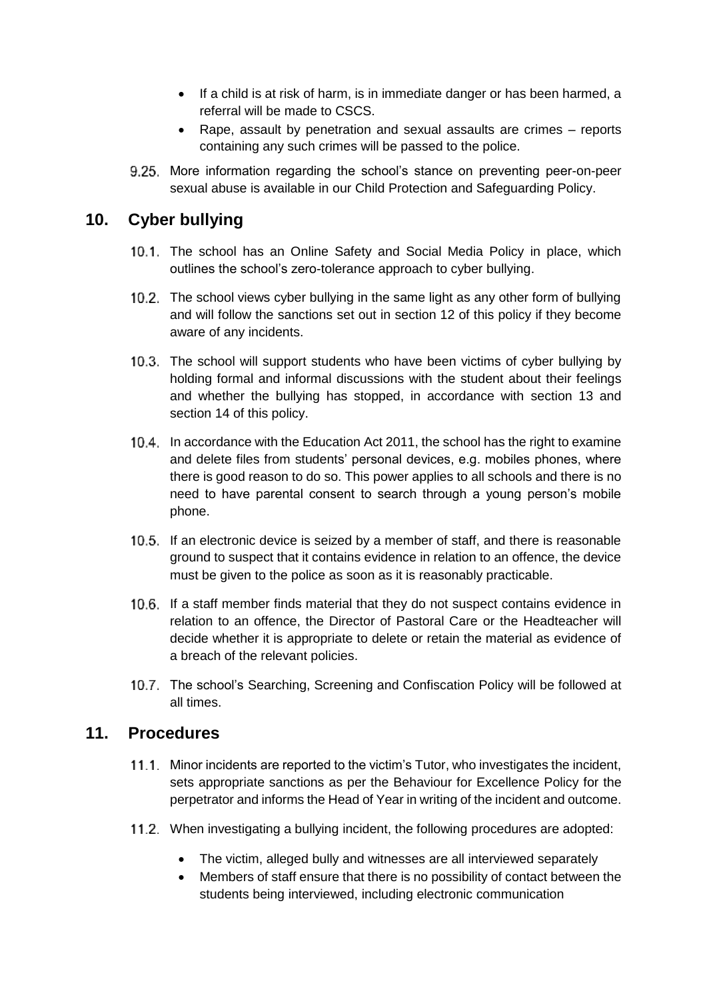- If a child is at risk of harm, is in immediate danger or has been harmed, a referral will be made to CSCS.
- Rape, assault by penetration and sexual assaults are crimes reports containing any such crimes will be passed to the police.
- 9.25. More information regarding the school's stance on preventing peer-on-peer sexual abuse is available in our Child Protection and Safeguarding Policy.

#### <span id="page-12-0"></span>**10. Cyber bullying**

- 10.1. The school has an [Online Safety and Social Media Policy](file://///SGCC-FIL01/StaffHome$/GormleyS/Downloads/Online-Safety-and-Social-Media-Policy-2020%20(2).pdf) in place, which outlines the school's zero-tolerance approach to cyber bullying.
- 10.2. The school views cyber bullying in the same light as any other form of bullying and will follow the sanctions set out in [section 12](#page-13-0) of this policy if they become aware of any incidents.
- 10.3. The school will support students who have been victims of cyber bullying by holding formal and informal discussions with the student about their feelings and whether the bullying has stopped, in accordance with [section 13](#page-13-1) and [section 14](#page-14-0) of this policy.
- In accordance with the Education Act 2011, the school has the right to examine and delete files from students' personal devices, e.g. mobiles phones, where there is good reason to do so. This power applies to all schools and there is no need to have parental consent to search through a young person's mobile phone.
- 10.5. If an electronic device is seized by a member of staff, and there is reasonable ground to suspect that it contains evidence in relation to an offence, the device must be given to the police as soon as it is reasonably practicable.
- 10.6. If a staff member finds material that they do not suspect contains evidence in relation to an offence, the Director of Pastoral Care or the Headteacher will decide whether it is appropriate to delete or retain the material as evidence of a breach of the relevant policies.
- 10.7. The school's Searching, Screening and Confiscation Policy will be followed at all times.

#### <span id="page-12-1"></span>**11. Procedures**

- 11.1. Minor incidents are reported to the victim's Tutor, who investigates the incident, sets appropriate sanctions as per the [Behaviour for Excellence Policy](file://///SGCC-FIL01/StaffHome$/GormleyS/Downloads/Behaviour-for-Excellence-June-2020%20(6).pdf) for the perpetrator and informs the Head of Year in writing of the incident and outcome.
- When investigating a bullying incident, the following procedures are adopted:
	- The victim, alleged bully and witnesses are all interviewed separately
	- Members of staff ensure that there is no possibility of contact between the students being interviewed, including electronic communication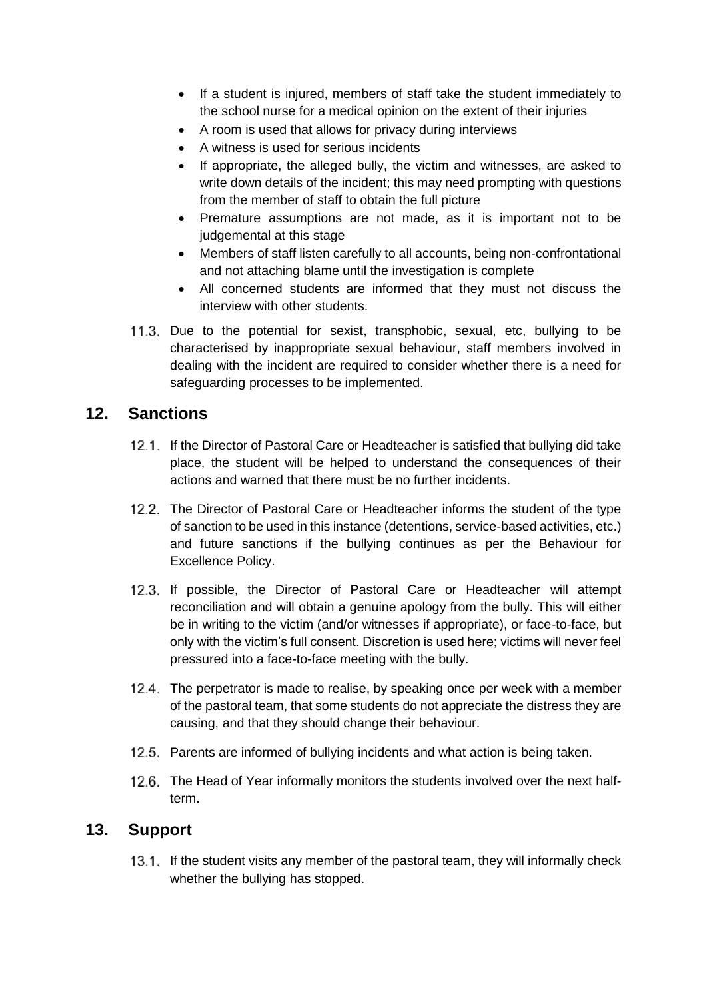- If a student is injured, members of staff take the student immediately to the school nurse for a medical opinion on the extent of their injuries
- A room is used that allows for privacy during interviews
- A witness is used for serious incidents
- If appropriate, the alleged bully, the victim and witnesses, are asked to write down details of the incident; this may need prompting with questions from the member of staff to obtain the full picture
- Premature assumptions are not made, as it is important not to be judgemental at this stage
- Members of staff listen carefully to all accounts, being non-confrontational and not attaching blame until the investigation is complete
- All concerned students are informed that they must not discuss the interview with other students.
- 11.3. Due to the potential for sexist, transphobic, sexual, etc, bullying to be characterised by inappropriate sexual behaviour, staff members involved in dealing with the incident are required to consider whether there is a need for safeguarding processes to be implemented.

#### <span id="page-13-0"></span>**12. Sanctions**

- 12.1. If the Director of Pastoral Care or Headteacher is satisfied that bullying did take place, the student will be helped to understand the consequences of their actions and warned that there must be no further incidents.
- 12.2. The Director of Pastoral Care or Headteacher informs the student of the type of sanction to be used in this instance (detentions, service-based activities, etc.) and future sanctions if the bullying continues as per the [Behaviour for](file://///SGCC-FIL01/StaffHome$/GormleyS/Downloads/Behaviour-for-Excellence-June-2020%20(6).pdf)  [Excellence Policy.](file://///SGCC-FIL01/StaffHome$/GormleyS/Downloads/Behaviour-for-Excellence-June-2020%20(6).pdf)
- 12.3. If possible, the Director of Pastoral Care or Headteacher will attempt reconciliation and will obtain a genuine apology from the bully. This will either be in writing to the victim (and/or witnesses if appropriate), or face-to-face, but only with the victim's full consent. Discretion is used here; victims will never feel pressured into a face-to-face meeting with the bully.
- 12.4. The perpetrator is made to realise, by speaking once per week with a member of the pastoral team, that some students do not appreciate the distress they are causing, and that they should change their behaviour.
- 12.5. Parents are informed of bullying incidents and what action is being taken.
- 12.6. The Head of Year informally monitors the students involved over the next halfterm.

#### <span id="page-13-1"></span>**13. Support**

13.1. If the student visits any member of the pastoral team, they will informally check whether the bullying has stopped.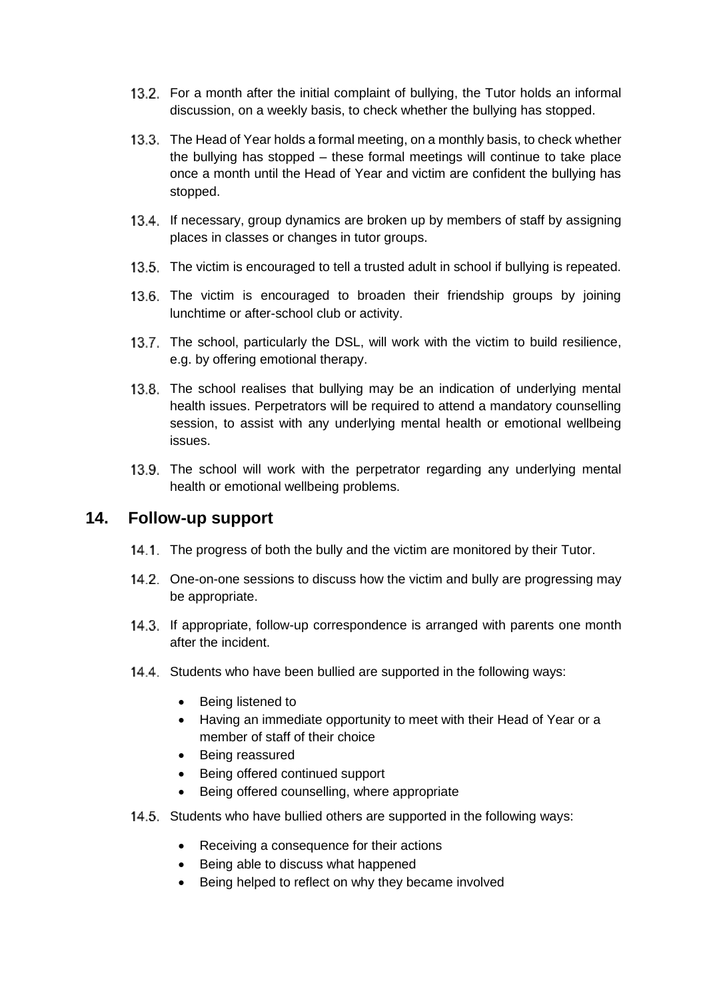- 13.2. For a month after the initial complaint of bullying, the Tutor holds an informal discussion, on a weekly basis, to check whether the bullying has stopped.
- 13.3. The Head of Year holds a formal meeting, on a monthly basis, to check whether the bullying has stopped – these formal meetings will continue to take place once a month until the Head of Year and victim are confident the bullying has stopped.
- 13.4. If necessary, group dynamics are broken up by members of staff by assigning places in classes or changes in tutor groups.
- 13.5. The victim is encouraged to tell a trusted adult in school if bullying is repeated.
- 13.6. The victim is encouraged to broaden their friendship groups by joining lunchtime or after-school club or activity.
- 13.7. The school, particularly the DSL, will work with the victim to build resilience, e.g. by offering emotional therapy.
- 13.8. The school realises that bullying may be an indication of underlying mental health issues. Perpetrators will be required to attend a mandatory counselling session, to assist with any underlying mental health or emotional wellbeing issues.
- 13.9. The school will work with the perpetrator regarding any underlying mental health or emotional wellbeing problems.

#### <span id="page-14-0"></span>**14. Follow-up support**

- 14.1. The progress of both the bully and the victim are monitored by their Tutor.
- 14.2. One-on-one sessions to discuss how the victim and bully are progressing may be appropriate.
- 14.3. If appropriate, follow-up correspondence is arranged with parents one month after the incident.
- 14.4. Students who have been bullied are supported in the following ways:
	- Being listened to
	- Having an immediate opportunity to meet with their Head of Year or a member of staff of their choice
	- Being reassured
	- Being offered continued support
	- Being offered counselling, where appropriate
- 14.5. Students who have bullied others are supported in the following ways:
	- Receiving a consequence for their actions
	- Being able to discuss what happened
	- Being helped to reflect on why they became involved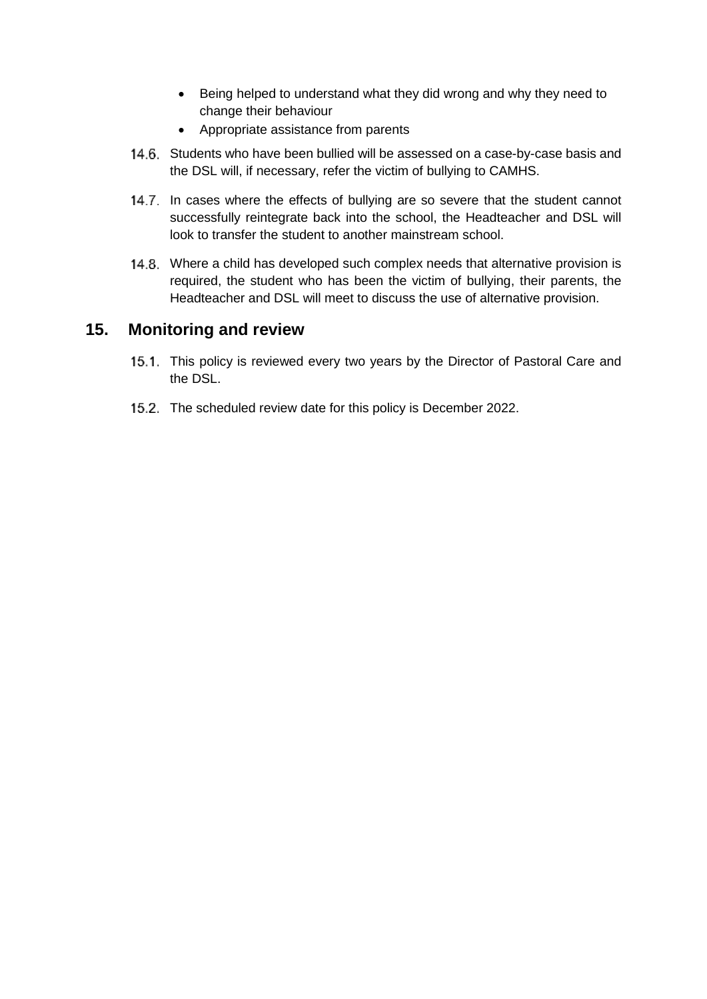- Being helped to understand what they did wrong and why they need to change their behaviour
- Appropriate assistance from parents
- 14.6. Students who have been bullied will be assessed on a case-by-case basis and the DSL will, if necessary, refer the victim of bullying to CAMHS.
- 14.7. In cases where the effects of bullying are so severe that the student cannot successfully reintegrate back into the school, the Headteacher and DSL will look to transfer the student to another mainstream school.
- 14.8. Where a child has developed such complex needs that alternative provision is required, the student who has been the victim of bullying, their parents, the Headteacher and DSL will meet to discuss the use of alternative provision.

#### <span id="page-15-0"></span>**15. Monitoring and review**

- 15.1. This policy is reviewed every two years by the Director of Pastoral Care and the DSL.
- 15.2. The scheduled review date for this policy is December 2022.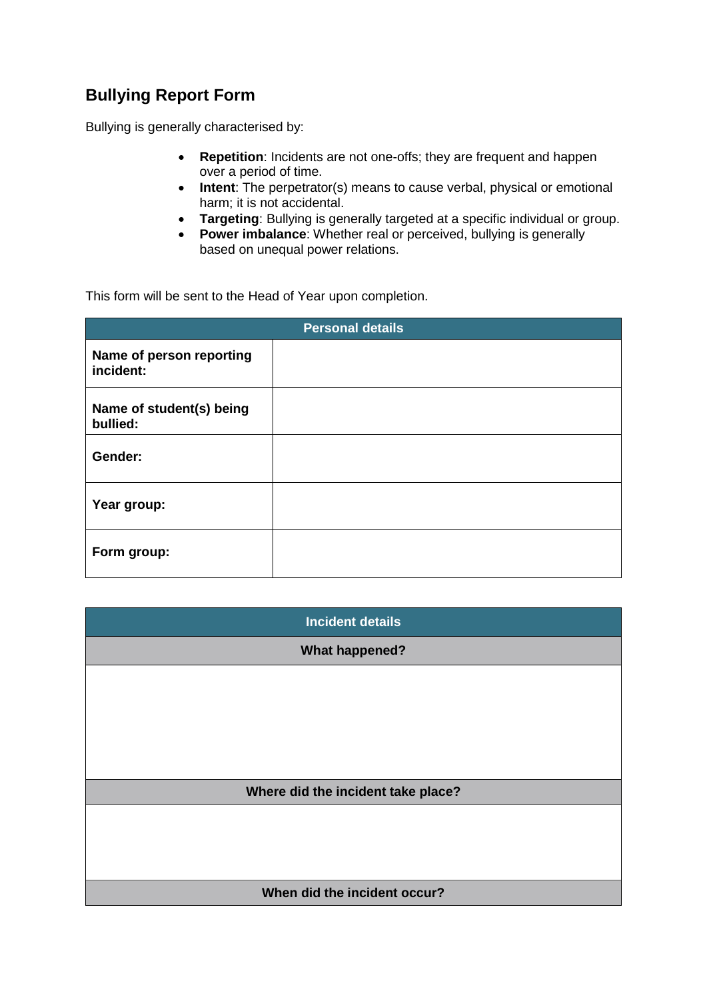## <span id="page-16-0"></span>**Bullying Report Form**

Bullying is generally characterised by:

- **Repetition**: Incidents are not one-offs; they are frequent and happen over a period of time.
- **Intent**: The perpetrator(s) means to cause verbal, physical or emotional harm; it is not accidental.
- **Targeting**: Bullying is generally targeted at a specific individual or group.
- **Power imbalance**: Whether real or perceived, bullying is generally based on unequal power relations.

This form will be sent to the Head of Year upon completion.

| <b>Personal details</b>               |  |  |
|---------------------------------------|--|--|
| Name of person reporting<br>incident: |  |  |
| Name of student(s) being<br>bullied:  |  |  |
| Gender:                               |  |  |
| Year group:                           |  |  |
| Form group:                           |  |  |

| <b>Incident details</b>            |  |
|------------------------------------|--|
| <b>What happened?</b>              |  |
|                                    |  |
|                                    |  |
|                                    |  |
|                                    |  |
| Where did the incident take place? |  |
|                                    |  |
|                                    |  |
|                                    |  |
| When did the incident occur?       |  |